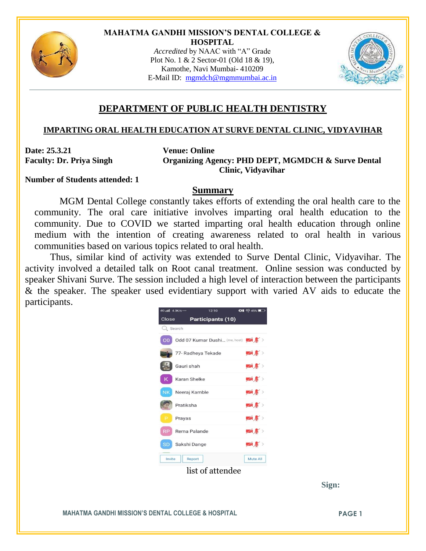

#### **MAHATMA GANDHI MISSION'S DENTAL COLLEGE & HOSPITAL**

*Accredited* by NAAC with "A" Grade Plot No. 1 & 2 Sector-01 (Old 18 & 19), Kamothe, Navi Mumbai- 410209 E-Mail ID: [mgmdch@mgmmumbai.ac.in](mailto:mgmdch@mgmmumbai.ac.in)



# **DEPARTMENT OF PUBLIC HEALTH DENTISTRY**

## **IMPARTING ORAL HEALTH EDUCATION AT SURVE DENTAL CLINIC, VIDYAVIHAR**

**Date: 25.3.21 Venue: Online**

**Faculty: Dr. Priya Singh Organizing Agency: PHD DEPT, MGMDCH & Surve Dental Clinic, Vidyavihar**

**Number of Students attended: 1**

## **Summary**

MGM Dental College constantly takes efforts of extending the oral health care to the community. The oral care initiative involves imparting oral health education to the community. Due to COVID we started imparting oral health education through online medium with the intention of creating awareness related to oral health in various communities based on various topics related to oral health.

Thus, similar kind of activity was extended to Surve Dental Clinic, Vidyavihar. The activity involved a detailed talk on Root canal treatment. Online session was conducted by speaker Shivani Surve. The session included a high level of interaction between the participants & the speaker. The speaker used evidentiary support with varied AV aids to educate the participants.



 **Sign:**

**MAHATMA GANDHI MISSION'S DENTAL COLLEGE & HOSPITAL PAGE 1**